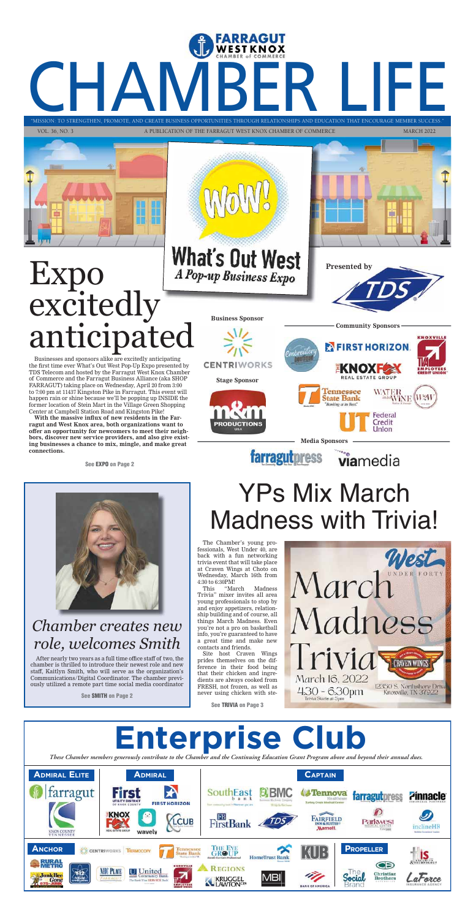## "MISSION: TO STRENGTHEN, PROMOTE, AND CREATE BUSINESS OPPORTUNITIES THROUGH RELATIONSHIPS AND EDUCATION THAT ENCOURAGE MEMBER SUCCESS." "MISSION: TO STRENGTHEN, PROMOTE, AND CREATE BUSINESS OPPORTUNITIES THROUGH RELATIONSHIPS AND EDUCATION THAT ENCOURAGE MEMBER S STRENGTHEN, PROMOTE, AND CREATE BUSINESS OPPORTUNITIES THROUGH RELATIONSHIPS AND EDUCATION THAT ENCOURAGE MEMBER SUCCESS."

FARRAGUT





# YPs Mix March Madness with Trivia!

The Chamber's young professionals, West Under 40, are back with a fun networking trivia event that will take place at Craven Wings at Choto on Wednesday, March 16th from 4:30 to 6:30PM!

This "March Madness Trivia" mixer invites all area young professionals to stop by and enjoy appetizers, relationship building and of course, all things March Madness. Even you're not a pro on basketball info, you're guaranteed to have a great time and make new contacts and friends.

Site host Craven Wings prides themselves on the difference in their food being that their chicken and ingredients are always cooked from FRESH, not frozen, as well as never using chicken with ste-



**See TRIVIA on Page 3**

#### *Chamber creates new role, welcomes Smith*

After nearly two years as a full time office staff of two, the chamber is thrilled to introduce their newest role and new staff, Kaitlyn Smith, who will serve as the organization's Communications/Digital Coordinator. The chamber previously utilized a remote part time social media coordinator

**See SMITH on Page 2**

# Expo excitedly anticipated

Businesses and sponsors alike are excitedly anticipating the first time ever What's Out West Pop-Up Expo presented by TDS Telecom and hosted by the Farragut West Knox Chamber of Commerce and the Farragut Business Alliance (aka SHOP FARRAGUT) taking place on Wednesday, April 20 from 3:00 to 7:00 pm at 11437 Kingston Pike in Farragut. This event will happen rain or shine because we'll be popping up INSIDE the former location of Stein Mart in the Village Green Shopping Center at Campbell Station Road and Kingston Pike!

**With the massive influx of new residents in the Farragut and West Knox area, both organizations want to offer an opportunity for newcomers to meet their neighbors, discover new service providers, and also give existing businesses a chance to mix, mingle, and make great connections.** 

**See EXPO on Page 2**



**What's Out West** A Pop-up Business Expo

**Presented by**



**KNOXVILLE** 

 $W2W$ 

**Business Sponsor**



viamedia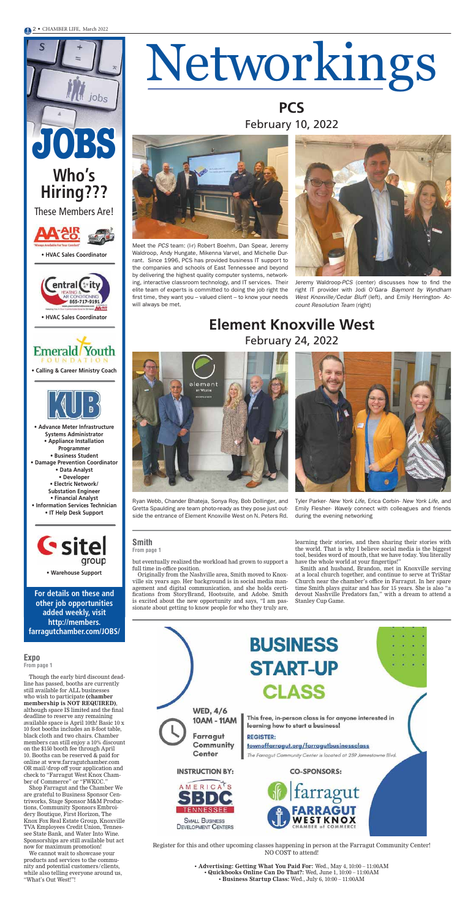# Networkings

**PCS** February 10, 2022

#### **Element Knoxville West** February 24, 2022



**JOBS**

jobs



These Members Are!



**For details on these and other job opportunities added weekly, visit http://members. farragutchamber.com/JOBS/**

#### **BUSINESS START-UP CLASS WED, 4/6** This free, in-person class is for anyone interested in 10AM - 11AM learning how to start a business! Farragut **REGISTER:** Community townoffarragut.org/farragutbusinessclass Center The Farragut Community Center is located at 239 Jamestowne Blvd. **INSTRUCTION BY: CO-SPONSORS: AMERICA** farragut RAGUT **TKNOX SMALL BUSINESS DEVELOPMENT CENTERS**

**• Calling & Career Ministry Coach**



**• Warehouse Support**

**• HVAC Sales Coordinator**



**• HVAC Sales Coordinator**



**• Advance Meter Infrastructure Systems Administrator • Appliance Installation Programmer • Business Student • Damage Prevention Coordinator • Data Analyst • Developer • Electric Network/ Substation Engineer • Financial Analyst • Information Services Technician**

**• IT Help Desk Support**



Meet the PCS team: (l-r) Robert Boehm, Dan Spear, Jeremy Waldroop, Andy Hungate, Mikenna Varvel, and Michelle Durrant. Since 1996, PCS has provided business IT support to the companies and schools of East Tennessee and beyond by delivering the highest quality computer systems, networking, interactive classroom technology, and IT services. Their elite team of experts is committed to doing the job right the first time, they want you – valued client – to know your needs will always be met.



Ryan Webb, Chander Bhateja, Sonya Roy, Bob Dollinger, and Gretta Spaulding are team photo-ready as they pose just outside the entrance of Element Knoxville West on N. Peters Rd.



Jeremy Waldroop-PCS (center) discusses how to find the right IT provider with Jodi O'Gara- Baymont by Wyndham West Knoxville/Cedar Bluff (left), and Emily Herrington- Account Resolution Team (right)

Tyler Parker- New York Life, Erica Corbin- New York Life, and Emily Flesher- Wavely connect with colleagues and friends during the evening networking



but eventually realized the workload had grown to support a full time in-office position.

Originally from the Nashville area, Smith moved to Knoxville six years ago. Her background is in social media management and digital communication, and she holds certifications from StoryBrand, Hootsuite, and Adobe. Smith is excited about the new opportunity and says, "I am passionate about getting to know people for who they truly are, learning their stories, and then sharing their stories with the world. That is why I believe social media is the biggest tool, besides word of mouth, that we have today. You literally have the whole world at your fingertips!"

Smith and husband, Brandon, met in Knoxville serving at a local church together, and continue to serve at TriStar Church near the chamber's office in Farragut. In her spare time Smith plays guitar and has for 15 years. She is also "a devout Nashville Predators fan," with a dream to attend a Stanley Cup Game.

**Smith From page 1**

Though the early bird discount deadline has passed, booths are currently still available for ALL businesses who wish to participate **(chamber membership is NOT REQUIRED)**, although space IS limited and the final deadline to reserve any remaining available space is April 10th! Basic 10 x 10 foot booths includes an 8-foot table, black cloth and two chairs. Chamber members can still enjoy a 10% discount on the \$150 booth fee through April 10. Booths can be reserved & paid for online at www.farragutchamber.com OR mail/drop off your application and check to "Farragut West Knox Chamber of Commerce" or "FWKCC."

Shop Farragut and the Chamber We are grateful to Business Sponsor Centriworks, Stage Sponsor M&M Productions, Community Sponsors Embroidery Boutique, First Horizon, The Knox Fox Real Estate Group, Knoxville TVA Employees Credit Union, Tennessee State Bank, and Water Into Wine. Sponsorships are still available but act now for maximum promotion!

We cannot wait to showcase your products and services to the community and potential customers/clients, while also telling everyone around us, "What's Out West!"!

#### **Expo From page 1**

Register for this and other upcoming classes happening in person at the Farragut Community Center! NO COST to attend!

> **• Advertising: Getting What You Paid For:** Wed., May 4, 10:00 – 11:00AM **• Quickbooks Online Can Do That?:** Wed, June 1, 10:00 – 11:00AM **• Business Startup Class:** Wed., July 6, 10:00 – 11:00AM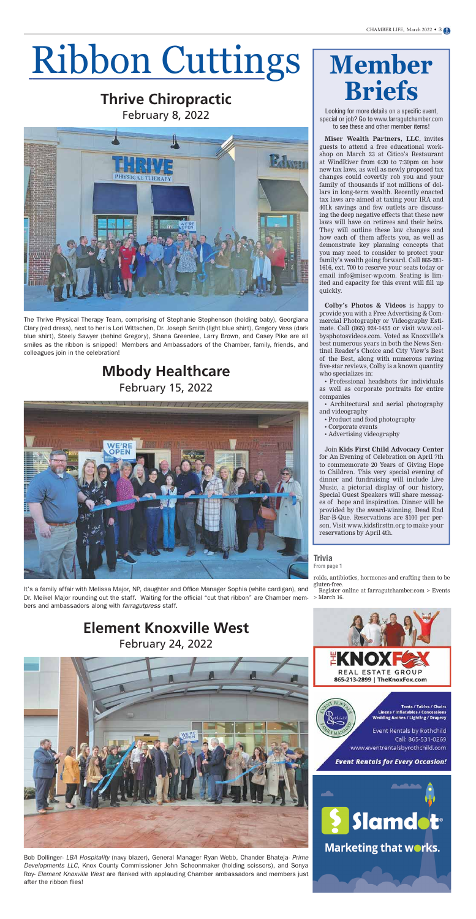# Ribbon Cuttings

#### **Thrive Chiropractic** February 8, 2022



#### **Mbody Healthcare** February 15, 2022



#### **Element Knoxville West** February 24, 2022



# **Member Briefs**

Looking for more details on a specific event, special or job? Go to www.farragutchamber.com to see these and other member items!

**Miser Wealth Partners, LLC**, invites guests to attend a free educational workshop on March 23 at Citico's Restaurant at WindRiver from 6:30 to 7:30pm on how new tax laws, as well as newly proposed tax changes could covertly rob you and your family of thousands if not millions of dollars in long-term wealth. Recently enacted tax laws are aimed at taxing your IRA and 401k savings and few outlets are discussing the deep negative effects that these new laws will have on retirees and their heirs. They will outline these law changes and how each of them affects you, as well as demonstrate key planning concepts that you may need to consider to protect your family's wealth going forward. Call 865-281- 1616, ext. 700 to reserve your seats today or email info@miser-wp.com. Seating is limited and capacity for this event will fill up quickly.

It's a family affair with Melissa Major, NP, daughter and Office Manager Sophia (white cardigan), and Dr. Meikel Major rounding out the staff. Waiting for the official "cut that ribbon" are Chamber members and ambassadors along with farragutpress staff.

**Colby's Photos & Videos** is happy to provide you with a Free Advertising & Commercial Photography or Videography Estimate. Call (865) 924-1455 or visit www.colbysphotosvideos.com. Voted as Knoxville's best numerous years in both the News Sentinel Reader's Choice and City View's Best of the Best, along with numerous raving five-star reviews, Colby is a known quantity who specializes in:

• Professional headshots for individuals as well as corporate portraits for entire companies

Bob Dollinger- LBA Hospitality (navy blazer), General Manager Ryan Webb, Chander Bhateja- Prime Developments LLC, Knox County Commissioner John Schoonmaker (holding scissors), and Sonya Roy- Element Knoxville West are flanked with applauding Chamber ambassadors and members just after the ribbon flies!



TATE

865-213-2899 | TheKnoxFox.com

**Tents / Tables / Chairs Linens / Inflatables / Concessions** Wedding Arches / Lighting / Drapery

GROUF

Event Rentals by Rothchild Call: 865-531-0269 www.eventrentalsbyrothchild.com

**Event Rentals for Every Occasion!** 



• Architectural and aerial photography and videography

- Product and food photography
- Corporate events
- Advertising videography

Join **Kids First Child Advocacy Center** for An Evening of Celebration on April 7th to commemorate 20 Years of Giving Hope to Children. This very special evening of dinner and fundraising will include Live Music, a pictorial display of our history, Special Guest Speakers will share messages of hope and inspiration. Dinner will be provided by the award-winning, Dead End Bar-B-Que. Reservations are \$100 per person. Visit www.kidsfirsttn.org to make your reservations by April 4th.

The Thrive Physical Therapy Team, comprising of Stephanie Stephenson (holding baby), Georgiana Clary (red dress), next to her is Lori Wittschen, Dr. Joseph Smith (light blue shirt), Gregory Vess (dark blue shirt), Steely Sawyer (behind Gregory), Shana Greenlee, Larry Brown, and Casey Pike are all smiles as the ribbon is snipped! Members and Ambassadors of the Chamber, family, friends, and colleagues join in the celebration!

> roids, antibiotics, hormones and crafting them to be gluten-free.

> Register online at farragutchamber.com > Events > March 16.

#### **Trivia From page 1**